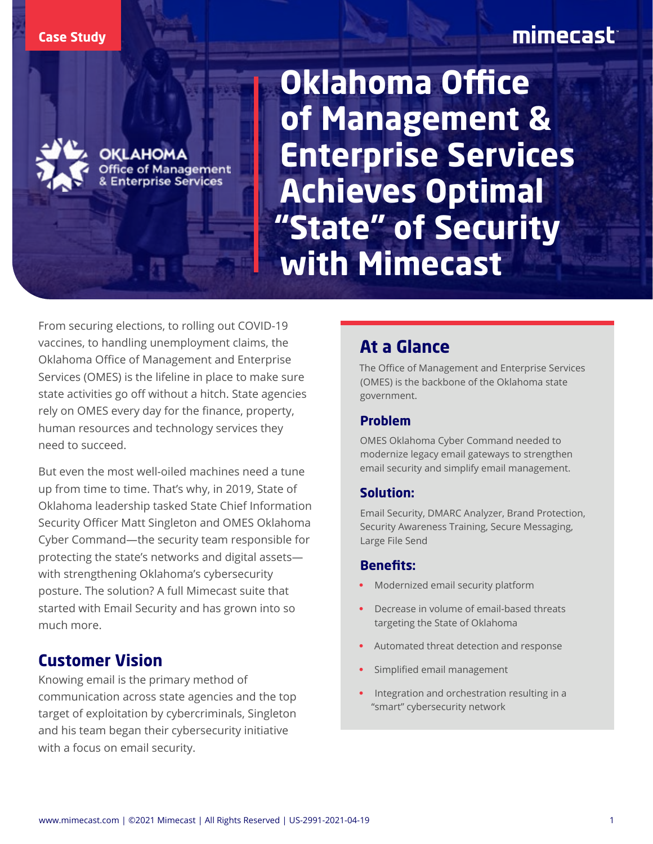#### **Case Study**

# mimecast



**Aanagement Prprise Services** 

**Oklahoma Office of Management & Enterprise Services Achieves Optimal "State" of Security with Mimecast**

From securing elections, to rolling out COVID-19 vaccines, to handling unemployment claims, the Oklahoma Office of Management and Enterprise Services (OMES) is the lifeline in place to make sure state activities go off without a hitch. State agencies rely on OMES every day for the finance, property, human resources and technology services they need to succeed.

But even the most well-oiled machines need a tune up from time to time. That's why, in 2019, State of Oklahoma leadership tasked State Chief Information Security Officer Matt Singleton and OMES Oklahoma Cyber Command—the security team responsible for protecting the state's networks and digital assets with strengthening Oklahoma's cybersecurity posture. The solution? A full Mimecast suite that started with Email Security and has grown into so much more.

### **Customer Vision**

Knowing email is the primary method of communication across state agencies and the top target of exploitation by cybercriminals, Singleton and his team began their cybersecurity initiative with a focus on email security.

## **At a Glance**

The Office of Management and Enterprise Services (OMES) is the backbone of the Oklahoma state government.

#### **Problem**

OMES Oklahoma Cyber Command needed to modernize legacy email gateways to strengthen email security and simplify email management.

#### **Solution:**

Email Security, DMARC Analyzer, Brand Protection, Security Awareness Training, Secure Messaging, Large File Send

#### **Benefits:**

- Modernized email security platform
- Decrease in volume of email-based threats targeting the State of Oklahoma
- Automated threat detection and response
- Simplified email management
- Integration and orchestration resulting in a "smart" cybersecurity network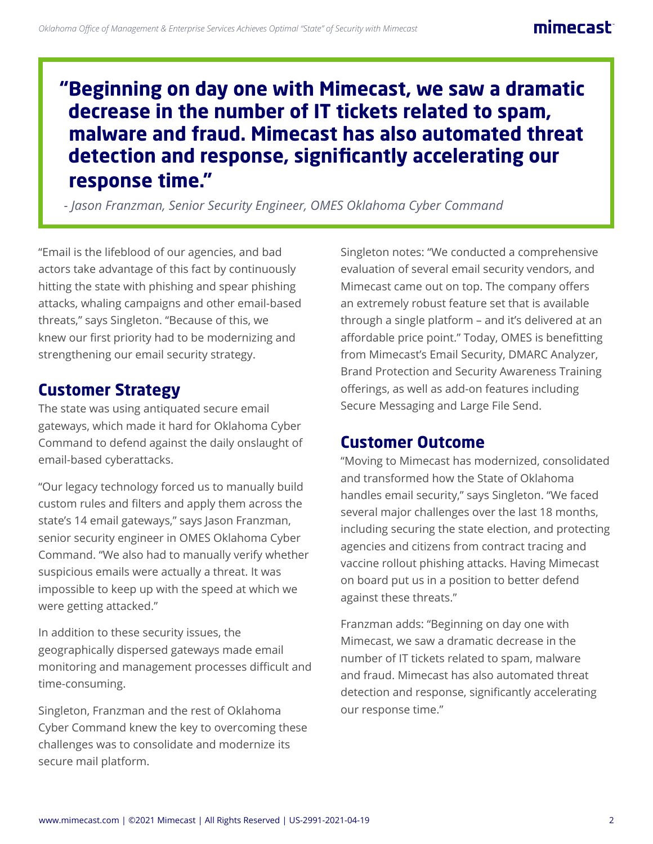## **"Beginning on day one with Mimecast, we saw a dramatic decrease in the number of IT tickets related to spam, malware and fraud. Mimecast has also automated threat detection and response, significantly accelerating our response time."**

*- Jason Franzman, Senior Security Engineer, OMES Oklahoma Cyber Command*

"Email is the lifeblood of our agencies, and bad actors take advantage of this fact by continuously hitting the state with phishing and spear phishing attacks, whaling campaigns and other email-based threats," says Singleton. "Because of this, we knew our first priority had to be modernizing and strengthening our email security strategy.

## **Customer Strategy**

The state was using antiquated secure email gateways, which made it hard for Oklahoma Cyber Command to defend against the daily onslaught of email-based cyberattacks.

"Our legacy technology forced us to manually build custom rules and filters and apply them across the state's 14 email gateways," says Jason Franzman, senior security engineer in OMES Oklahoma Cyber Command. "We also had to manually verify whether suspicious emails were actually a threat. It was impossible to keep up with the speed at which we were getting attacked."

In addition to these security issues, the geographically dispersed gateways made email monitoring and management processes difficult and time-consuming.

Singleton, Franzman and the rest of Oklahoma Cyber Command knew the key to overcoming these challenges was to consolidate and modernize its secure mail platform.

Singleton notes: "We conducted a comprehensive evaluation of several email security vendors, and Mimecast came out on top. The company offers an extremely robust feature set that is available through a single platform – and it's delivered at an affordable price point." Today, OMES is benefitting from Mimecast's Email Security, DMARC Analyzer, Brand Protection and Security Awareness Training offerings, as well as add-on features including Secure Messaging and Large File Send.

## **Customer Outcome**

"Moving to Mimecast has modernized, consolidated and transformed how the State of Oklahoma handles email security," says Singleton. "We faced several major challenges over the last 18 months, including securing the state election, and protecting agencies and citizens from contract tracing and vaccine rollout phishing attacks. Having Mimecast on board put us in a position to better defend against these threats."

Franzman adds: "Beginning on day one with Mimecast, we saw a dramatic decrease in the number of IT tickets related to spam, malware and fraud. Mimecast has also automated threat detection and response, significantly accelerating our response time."